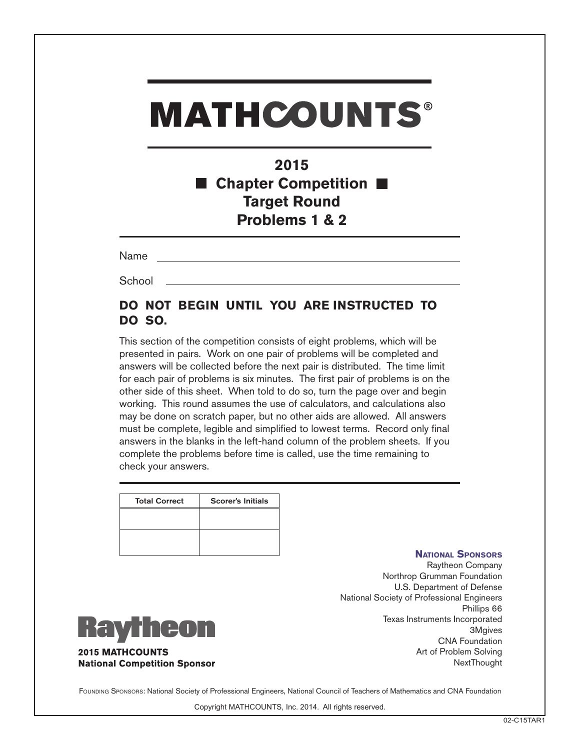# **MATHCOUNTS®**

## **2015 Chapter Competition Target Round Problems 1 & 2**

Name

**School** 

### **DO NOT BEGIN UNTIL YOU ARE INSTRUCTED TO DO SO.**

This section of the competition consists of eight problems, which will be presented in pairs. Work on one pair of problems will be completed and answers will be collected before the next pair is distributed. The time limit for each pair of problems is six minutes. The first pair of problems is on the other side of this sheet. When told to do so, turn the page over and begin working. This round assumes the use of calculators, and calculations also may be done on scratch paper, but no other aids are allowed. All answers must be complete, legible and simplified to lowest terms. Record only final answers in the blanks in the left-hand column of the problem sheets. If you complete the problems before time is called, use the time remaining to check your answers.

| <b>Total Correct</b> | <b>Scorer's Initials</b> |
|----------------------|--------------------------|
|                      |                          |
|                      |                          |
|                      |                          |
|                      |                          |

#### **National Sponsors**

Raytheon Company Northrop Grumman Foundation U.S. Department of Defense National Society of Professional Engineers Phillips 66 Texas Instruments Incorporated 3Mgives CNA Foundation Art of Problem Solving **NextThought** 



**2015 MATHCOUNTS National Competition Sponsor** 

FOUNDING SPONSORS: National Society of Professional Engineers, National Council of Teachers of Mathematics and CNA Foundation

Copyright MATHCOUNTS, Inc. 2014. All rights reserved.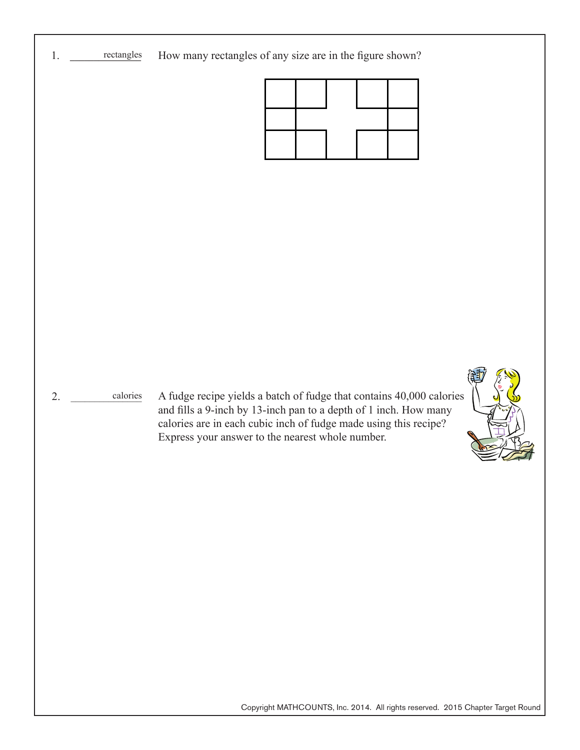

Copyright MATHCOUNTS, Inc. 2014. All rights reserved. 2015 Chapter Target Round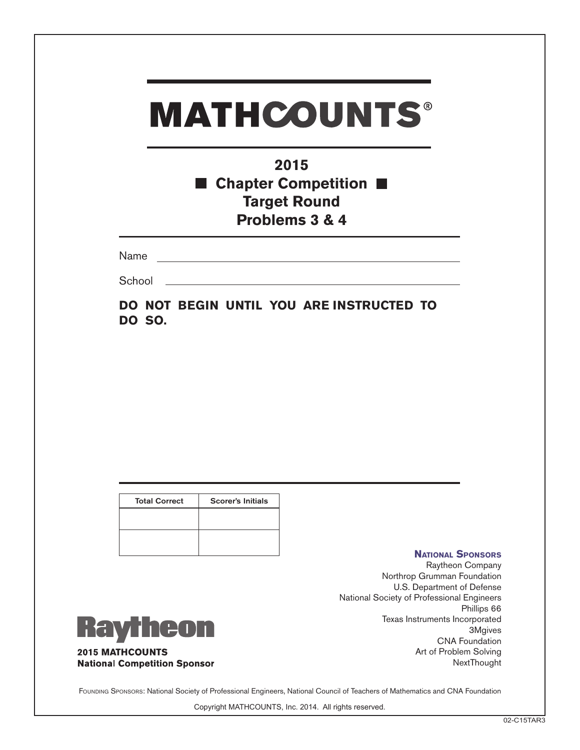| <b>MATHCOUNTS®</b><br>2015<br><b>E</b> Chapter Competition $\blacksquare$<br><b>Target Round</b><br>Problems 3 & 4 |  |
|--------------------------------------------------------------------------------------------------------------------|--|
| Name                                                                                                               |  |
| School                                                                                                             |  |
| DO NOT BEGIN UNTIL YOU ARE INSTRUCTED TO<br><b>DO SO.</b>                                                          |  |

| <b>Total Correct</b> | <b>Scorer's Initials</b> |
|----------------------|--------------------------|
|                      |                          |
|                      |                          |
|                      |                          |

#### **National Sponsors**

Raytheon Company Northrop Grumman Foundation U.S. Department of Defense National Society of Professional Engineers Phillips 66 Texas Instruments Incorporated 3Mgives CNA Foundation Art of Problem Solving **NextThought** 



**2015 MATHCOUNTS National Competition Sponsor** 

Founding Sponsors: National Society of Professional Engineers, National Council of Teachers of Mathematics and CNA Foundation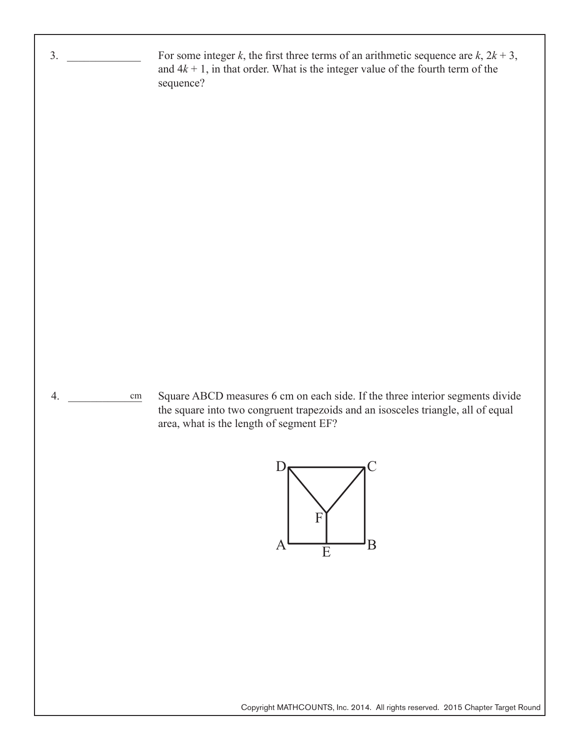

Copyright MATHCOUNTS, Inc. 2014. All rights reserved. 2015 Chapter Target Round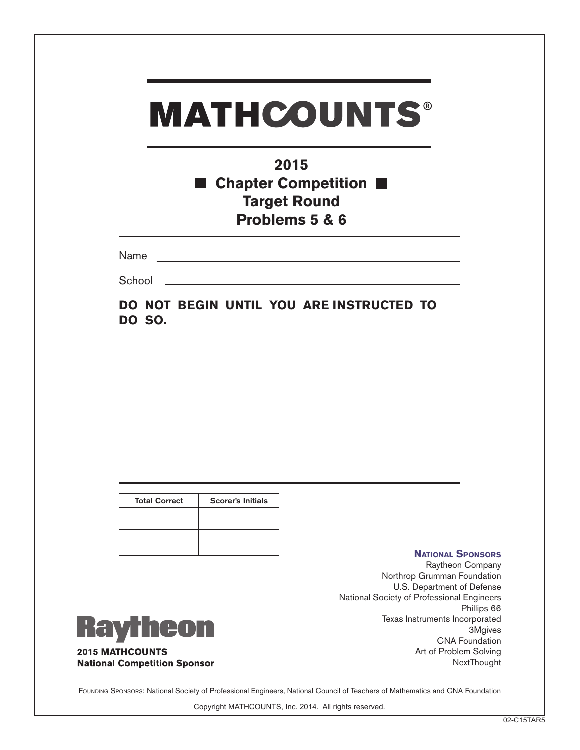| <b>MATHCOUNTS®</b> |                                                                                              |  |  |  |
|--------------------|----------------------------------------------------------------------------------------------|--|--|--|
|                    | 2015<br><b>E</b> Chapter Competition $\blacksquare$<br><b>Target Round</b><br>Problems 5 & 6 |  |  |  |
| Name               |                                                                                              |  |  |  |
| School             |                                                                                              |  |  |  |
| DO SO.             | DO NOT BEGIN UNTIL YOU ARE INSTRUCTED TO                                                     |  |  |  |

| <b>Total Correct</b> | <b>Scorer's Initials</b> |
|----------------------|--------------------------|
|                      |                          |
|                      |                          |
|                      |                          |

#### **National Sponsors**

Raytheon Company Northrop Grumman Foundation U.S. Department of Defense National Society of Professional Engineers Phillips 66 Texas Instruments Incorporated 3Mgives CNA Foundation Art of Problem Solving **NextThought** 



**2015 MATHCOUNTS National Competition Sponsor** 

Founding Sponsors: National Society of Professional Engineers, National Council of Teachers of Mathematics and CNA Foundation

Copyright MATHCOUNTS, Inc. 2014. All rights reserved.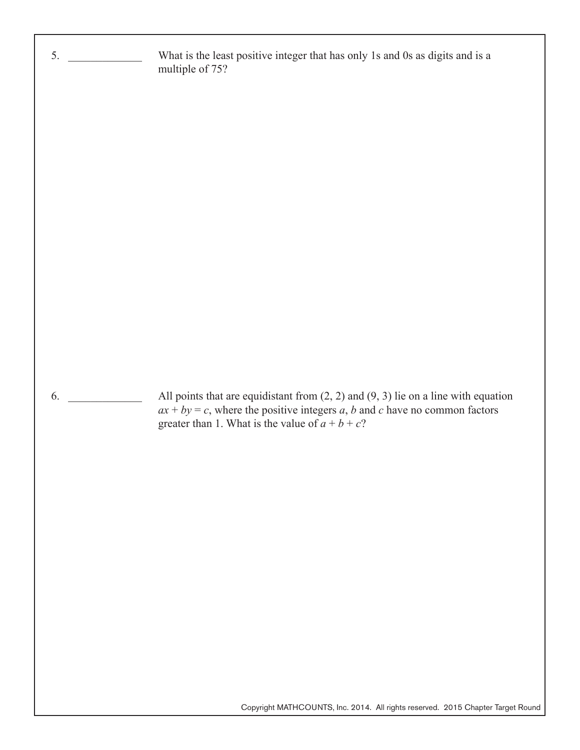$5.$  $6.$ What is the least positive integer that has only 1s and 0s as digits and is a multiple of 75? All points that are equidistant from  $(2, 2)$  and  $(9, 3)$  lie on a line with equation  $ax + by = c$ , where the positive integers *a*, *b* and *c* have no common factors greater than 1. What is the value of  $\overline{a} + \overline{b} + \overline{c}$ ?

Copyright MATHCOUNTS, Inc. 2014. All rights reserved. 2015 Chapter Target Round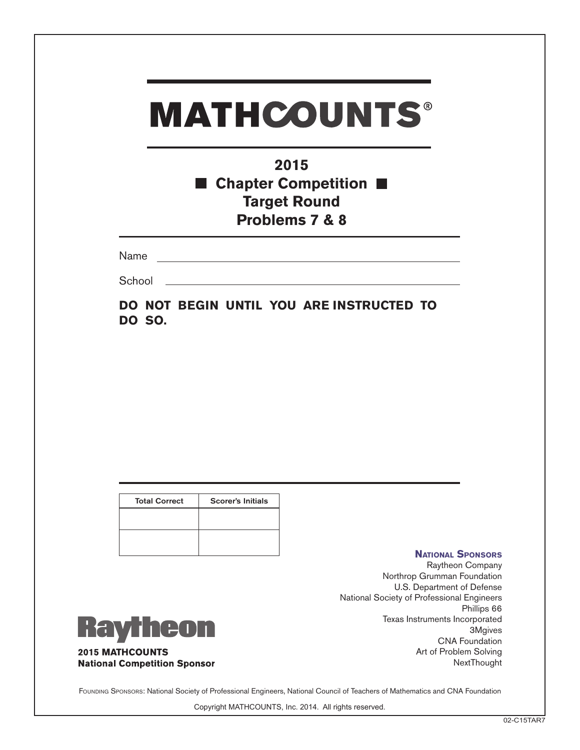| <b>MATHCOUNTS®</b><br>2015<br><b>E</b> Chapter Competition $\blacksquare$<br><b>Target Round</b><br><b>Problems 7 &amp; 8</b>                                                                                                  |  |  |
|--------------------------------------------------------------------------------------------------------------------------------------------------------------------------------------------------------------------------------|--|--|
|                                                                                                                                                                                                                                |  |  |
| School and the second second second second second second second second second second second second second second second second second second second second second second second second second second second second second seco |  |  |
| DO NOT BEGIN UNTIL YOU ARE INSTRUCTED TO<br><b>DO SO.</b>                                                                                                                                                                      |  |  |

| <b>Total Correct</b> | <b>Scorer's Initials</b> |
|----------------------|--------------------------|
|                      |                          |
|                      |                          |
|                      |                          |

#### **National Sponsors**

Raytheon Company Northrop Grumman Foundation U.S. Department of Defense National Society of Professional Engineers Phillips 66 Texas Instruments Incorporated 3Mgives CNA Foundation Art of Problem Solving **NextThought** 



**2015 MATHCOUNTS National Competition Sponsor** 

Founding Sponsors: National Society of Professional Engineers, National Council of Teachers of Mathematics and CNA Foundation

Copyright MATHCOUNTS, Inc. 2014. All rights reserved.